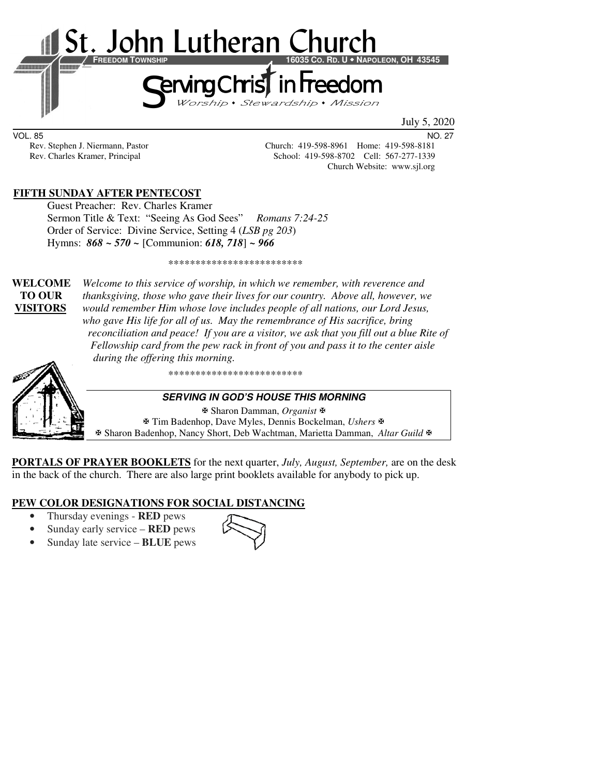

VOL. 85 NO. 27

Rev. Stephen J. Niermann, Pastor Church: 419-598-8961 Home: 419-598-8181<br>Rev. Charles Kramer, Principal School: 419-598-8702 Cell: 567-277-1339 School: 419-598-8702 Cell: 567-277-1339 Church Website: www.sjl.org

## **FIFTH SUNDAY AFTER PENTECOST**

Guest Preacher: Rev. Charles Kramer Sermon Title & Text: "Seeing As God Sees" *Romans 7:24-25*  Order of Service: Divine Service, Setting 4 (*LSB pg 203*) Hymns: *868 ~ 570 ~* [Communion: *618, 718*] *~ 966*

\*\*\*\*\*\*\*\*\*\*\*\*\*\*\*\*\*\*\*\*\*\*\*\*\*

**WELCOME** *Welcome to this service of worship, in which we remember, with reverence and* **TO OUR** *thanksgiving, those who gave their lives for our country. Above all, however, we*  **VISITORS** *would remember Him whose love includes people of all nations, our Lord Jesus, who gave His life for all of us. May the remembrance of His sacrifice, bring reconciliation and peace! If you are a visitor, we ask that you fill out a blue Rite of Fellowship card from the pew rack in front of you and pass it to the center aisle during the offering this morning.* 



\*\*\*\*\*\*\*\*\*\*\*\*\*\*\*\*\*\*\*\*\*\*\*\*\*

#### **SERVING IN GOD'S HOUSE THIS MORNING**

 Sharon Damman, *Organist* Tim Badenhop, Dave Myles, Dennis Bockelman, *Ushers* Sharon Badenhop, Nancy Short, Deb Wachtman, Marietta Damman, *Altar Guild*

**PORTALS OF PRAYER BOOKLETS** for the next quarter, *July, August, September,* are on the desk in the back of the church. There are also large print booklets available for anybody to pick up.

## **PEW COLOR DESIGNATIONS FOR SOCIAL DISTANCING**

- Thursday evenings **RED** pews
- Sunday early service **RED** pews
- Sunday late service **BLUE** pews

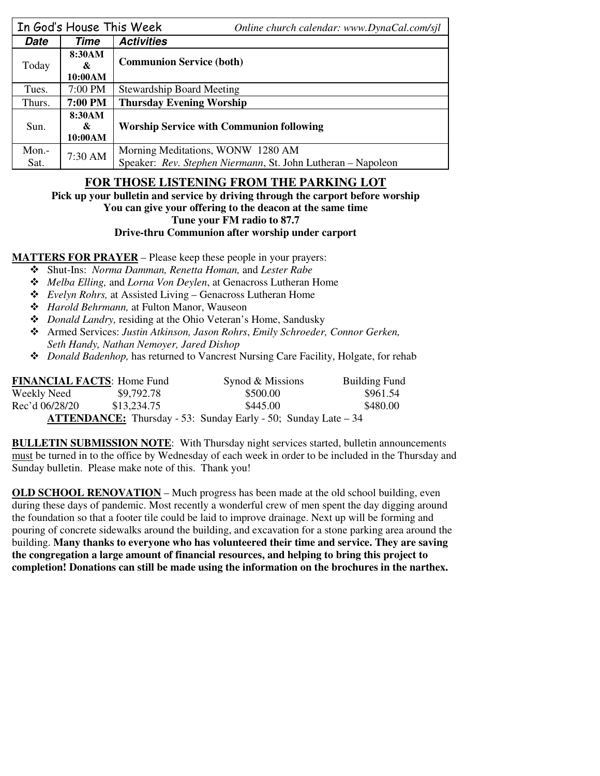|               | In God's House This Week | Online church calendar: www.DynaCal.com/sjl                                                       |  |
|---------------|--------------------------|---------------------------------------------------------------------------------------------------|--|
| Date          | Time                     | <b>Activities</b>                                                                                 |  |
| Today         | 8:30AM<br>&<br>10:00AM   | <b>Communion Service (both)</b>                                                                   |  |
| Tues.         | $7:00$ PM                | <b>Stewardship Board Meeting</b>                                                                  |  |
| Thurs.        | 7:00 PM                  | <b>Thursday Evening Worship</b>                                                                   |  |
| Sun.          | 8:30AM<br>&<br>10:00AM   | <b>Worship Service with Communion following</b>                                                   |  |
| Mon.-<br>Sat. | 7:30 AM                  | Morning Meditations, WONW 1280 AM<br>Speaker: Rev. Stephen Niermann, St. John Lutheran - Napoleon |  |

# **FOR THOSE LISTENING FROM THE PARKING LOT**

**Pick up your bulletin and service by driving through the carport before worship** 

#### **You can give your offering to the deacon at the same time**

**Tune your FM radio to 87.7** 

### **Drive-thru Communion after worship under carport**

### **MATTERS FOR PRAYER** – Please keep these people in your prayers:

- Shut-Ins: *Norma Damman, Renetta Homan,* and *Lester Rabe*
- *Melba Elling,* and *Lorna Von Deylen*, at Genacross Lutheran Home
- *Evelyn Rohrs,* at Assisted Living Genacross Lutheran Home
- *Harold Behrmann,* at Fulton Manor, Wauseon
- *Donald Landry,* residing at the Ohio Veteran's Home, Sandusky
- Armed Services: *Justin Atkinson, Jason Rohrs*, *Emily Schroeder, Connor Gerken, Seth Handy, Nathan Nemoyer, Jared Dishop*
- *Donald Badenhop,* has returned to Vancrest Nursing Care Facility, Holgate, for rehab

| <b>FINANCIAL FACTS: Home Fund</b> |             | Synod & Missions                                                       | <b>Building Fund</b> |
|-----------------------------------|-------------|------------------------------------------------------------------------|----------------------|
| Weekly Need                       | \$9,792.78  | \$500.00                                                               | \$961.54             |
| Rec'd 06/28/20                    | \$13.234.75 | \$445.00                                                               | \$480.00             |
|                                   |             | <b>ATTENDANCE:</b> Thursday - 53: Sunday Early - 50; Sunday Late $-34$ |                      |

**BULLETIN SUBMISSION NOTE**: With Thursday night services started, bulletin announcements must be turned in to the office by Wednesday of each week in order to be included in the Thursday and Sunday bulletin. Please make note of this. Thank you!

**OLD SCHOOL RENOVATION – Much progress has been made at the old school building, even** during these days of pandemic. Most recently a wonderful crew of men spent the day digging around the foundation so that a footer tile could be laid to improve drainage. Next up will be forming and pouring of concrete sidewalks around the building, and excavation for a stone parking area around the building. **Many thanks to everyone who has volunteered their time and service. They are saving the congregation a large amount of financial resources, and helping to bring this project to completion! Donations can still be made using the information on the brochures in the narthex.**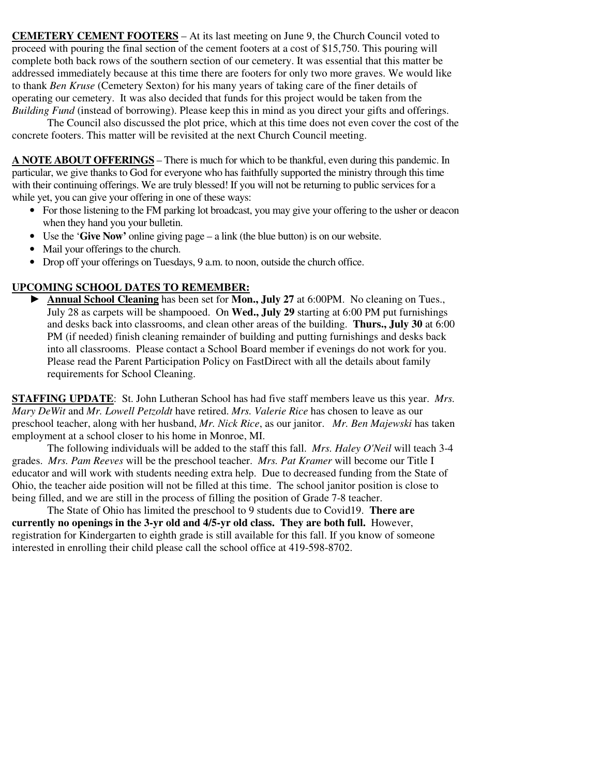**CEMETERY CEMENT FOOTERS** – At its last meeting on June 9, the Church Council voted to proceed with pouring the final section of the cement footers at a cost of \$15,750. This pouring will complete both back rows of the southern section of our cemetery. It was essential that this matter be addressed immediately because at this time there are footers for only two more graves. We would like to thank *Ben Kruse* (Cemetery Sexton) for his many years of taking care of the finer details of operating our cemetery. It was also decided that funds for this project would be taken from the *Building Fund* (instead of borrowing). Please keep this in mind as you direct your gifts and offerings.

 The Council also discussed the plot price, which at this time does not even cover the cost of the concrete footers. This matter will be revisited at the next Church Council meeting.

**A NOTE ABOUT OFFERINGS** – There is much for which to be thankful, even during this pandemic. In particular, we give thanks to God for everyone who has faithfully supported the ministry through this time with their continuing offerings. We are truly blessed! If you will not be returning to public services for a while yet, you can give your offering in one of these ways:

- For those listening to the FM parking lot broadcast, you may give your offering to the usher or deacon when they hand you your bulletin.
- Use the '**Give Now'** online giving page a link (the blue button) is on our website.
- Mail your offerings to the church.
- Drop off your offerings on Tuesdays, 9 a.m. to noon, outside the church office.

### **UPCOMING SCHOOL DATES TO REMEMBER:**

Annual School Cleaning has been set for Mon., July 27 at 6:00PM. No cleaning on Tues., July 28 as carpets will be shampooed. On **Wed., July 29** starting at 6:00 PM put furnishings and desks back into classrooms, and clean other areas of the building. **Thurs., July 30** at 6:00 PM (if needed) finish cleaning remainder of building and putting furnishings and desks back into all classrooms. Please contact a School Board member if evenings do not work for you. Please read the Parent Participation Policy on FastDirect with all the details about family requirements for School Cleaning.

**STAFFING UPDATE**: St. John Lutheran School has had five staff members leave us this year. *Mrs. Mary DeWit* and *Mr. Lowell Petzoldt* have retired. *Mrs. Valerie Rice* has chosen to leave as our preschool teacher, along with her husband, *Mr. Nick Rice*, as our janitor. *Mr. Ben Majewski* has taken employment at a school closer to his home in Monroe, MI.

The following individuals will be added to the staff this fall. *Mrs. Haley O'Neil* will teach 3-4 grades. *Mrs. Pam Reeves* will be the preschool teacher. *Mrs. Pat Kramer* will become our Title I educator and will work with students needing extra help. Due to decreased funding from the State of Ohio, the teacher aide position will not be filled at this time. The school janitor position is close to being filled, and we are still in the process of filling the position of Grade 7-8 teacher.

The State of Ohio has limited the preschool to 9 students due to Covid19. **There are currently no openings in the 3-yr old and 4/5-yr old class. They are both full.** However, registration for Kindergarten to eighth grade is still available for this fall. If you know of someone interested in enrolling their child please call the school office at 419-598-8702.